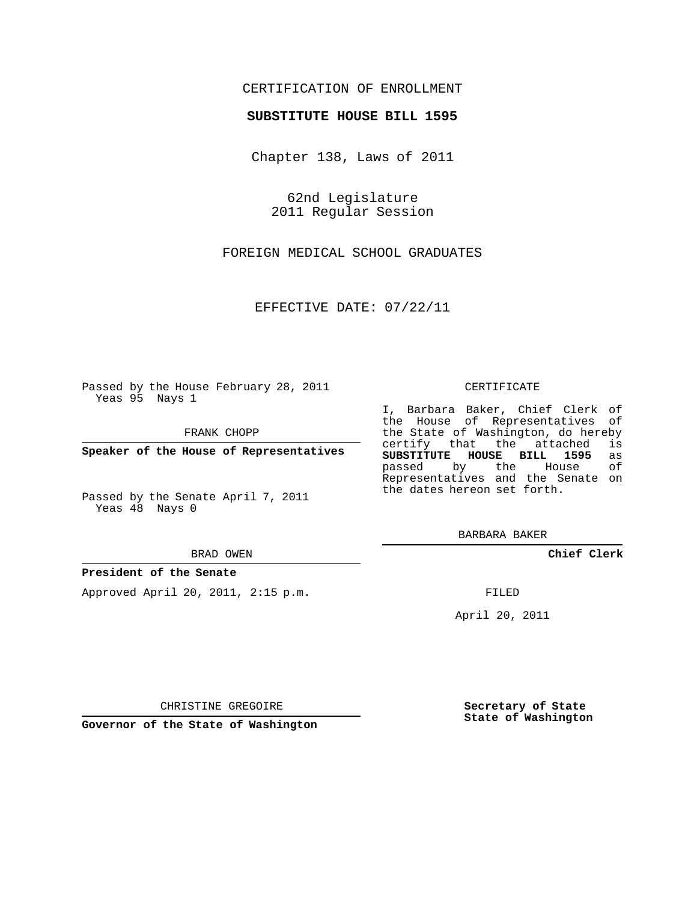## CERTIFICATION OF ENROLLMENT

### **SUBSTITUTE HOUSE BILL 1595**

Chapter 138, Laws of 2011

62nd Legislature 2011 Regular Session

FOREIGN MEDICAL SCHOOL GRADUATES

EFFECTIVE DATE: 07/22/11

Passed by the House February 28, 2011 Yeas 95 Nays 1

FRANK CHOPP

**Speaker of the House of Representatives**

Passed by the Senate April 7, 2011 Yeas 48 Nays 0

#### BRAD OWEN

### **President of the Senate**

Approved April 20, 2011, 2:15 p.m.

#### CERTIFICATE

I, Barbara Baker, Chief Clerk of the House of Representatives of the State of Washington, do hereby<br>certify that the attached is certify that the attached **SUBSTITUTE HOUSE BILL 1595** as passed by the House Representatives and the Senate on the dates hereon set forth.

BARBARA BAKER

**Chief Clerk**

FILED

April 20, 2011

CHRISTINE GREGOIRE

**Governor of the State of Washington**

**Secretary of State State of Washington**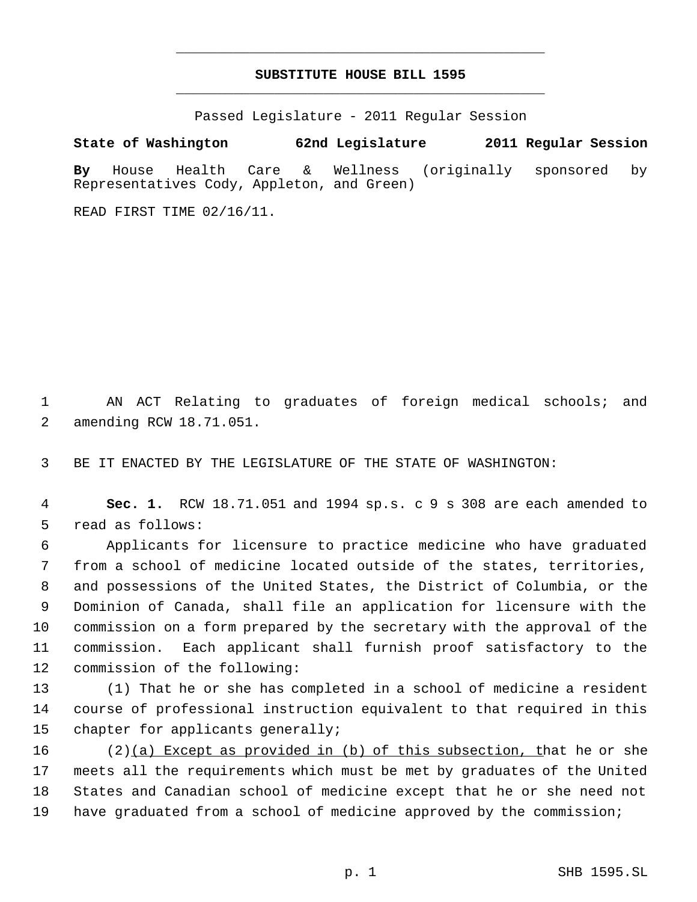# **SUBSTITUTE HOUSE BILL 1595** \_\_\_\_\_\_\_\_\_\_\_\_\_\_\_\_\_\_\_\_\_\_\_\_\_\_\_\_\_\_\_\_\_\_\_\_\_\_\_\_\_\_\_\_\_

\_\_\_\_\_\_\_\_\_\_\_\_\_\_\_\_\_\_\_\_\_\_\_\_\_\_\_\_\_\_\_\_\_\_\_\_\_\_\_\_\_\_\_\_\_

Passed Legislature - 2011 Regular Session

**State of Washington 62nd Legislature 2011 Regular Session By** House Health Care & Wellness (originally sponsored by Representatives Cody, Appleton, and Green)

READ FIRST TIME 02/16/11.

 AN ACT Relating to graduates of foreign medical schools; and amending RCW 18.71.051.

BE IT ENACTED BY THE LEGISLATURE OF THE STATE OF WASHINGTON:

 **Sec. 1.** RCW 18.71.051 and 1994 sp.s. c 9 s 308 are each amended to read as follows:

 Applicants for licensure to practice medicine who have graduated from a school of medicine located outside of the states, territories, and possessions of the United States, the District of Columbia, or the Dominion of Canada, shall file an application for licensure with the commission on a form prepared by the secretary with the approval of the commission. Each applicant shall furnish proof satisfactory to the commission of the following:

 (1) That he or she has completed in a school of medicine a resident course of professional instruction equivalent to that required in this chapter for applicants generally;

16 (2)(a) Except as provided in (b) of this subsection, that he or she meets all the requirements which must be met by graduates of the United States and Canadian school of medicine except that he or she need not have graduated from a school of medicine approved by the commission;